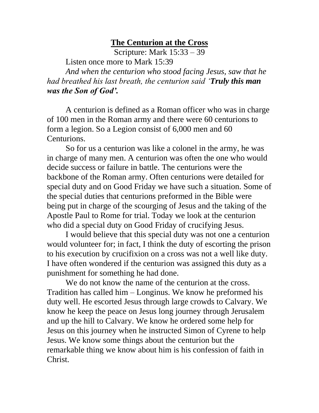## **The Centurion at the Cross**

Scripture: Mark 15:33 – 39 Listen once more to Mark 15:39

*And when the centurion who stood facing Jesus, saw that he had breathed his last breath, the centurion said 'Truly this man was the Son of God'.*

A centurion is defined as a Roman officer who was in charge of 100 men in the Roman army and there were 60 centurions to form a legion. So a Legion consist of 6,000 men and 60 Centurions.

So for us a centurion was like a colonel in the army, he was in charge of many men. A centurion was often the one who would decide success or failure in battle. The centurions were the backbone of the Roman army. Often centurions were detailed for special duty and on Good Friday we have such a situation. Some of the special duties that centurions preformed in the Bible were being put in charge of the scourging of Jesus and the taking of the Apostle Paul to Rome for trial. Today we look at the centurion who did a special duty on Good Friday of crucifying Jesus.

I would believe that this special duty was not one a centurion would volunteer for; in fact, I think the duty of escorting the prison to his execution by crucifixion on a cross was not a well like duty. I have often wondered if the centurion was assigned this duty as a punishment for something he had done.

We do not know the name of the centurion at the cross. Tradition has called him – Longinus. We know he preformed his duty well. He escorted Jesus through large crowds to Calvary. We know he keep the peace on Jesus long journey through Jerusalem and up the hill to Calvary. We know he ordered some help for Jesus on this journey when he instructed Simon of Cyrene to help Jesus. We know some things about the centurion but the remarkable thing we know about him is his confession of faith in Christ.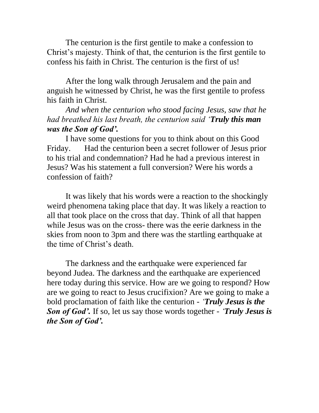The centurion is the first gentile to make a confession to Christ's majesty. Think of that, the centurion is the first gentile to confess his faith in Christ. The centurion is the first of us!

After the long walk through Jerusalem and the pain and anguish he witnessed by Christ, he was the first gentile to profess his faith in Christ.

*And when the centurion who stood facing Jesus, saw that he had breathed his last breath, the centurion said 'Truly this man was the Son of God'.*

I have some questions for you to think about on this Good Friday. Had the centurion been a secret follower of Jesus prior to his trial and condemnation? Had he had a previous interest in Jesus? Was his statement a full conversion? Were his words a confession of faith?

It was likely that his words were a reaction to the shockingly weird phenomena taking place that day. It was likely a reaction to all that took place on the cross that day. Think of all that happen while Jesus was on the cross- there was the eerie darkness in the skies from noon to 3pm and there was the startling earthquake at the time of Christ's death.

The darkness and the earthquake were experienced far beyond Judea. The darkness and the earthquake are experienced here today during this service. How are we going to respond? How are we going to react to Jesus crucifixion? Are we going to make a bold proclamation of faith like the centurion - *'Truly Jesus is the Son of God'.* If so, let us say those words together - *'Truly Jesus is the Son of God'.*